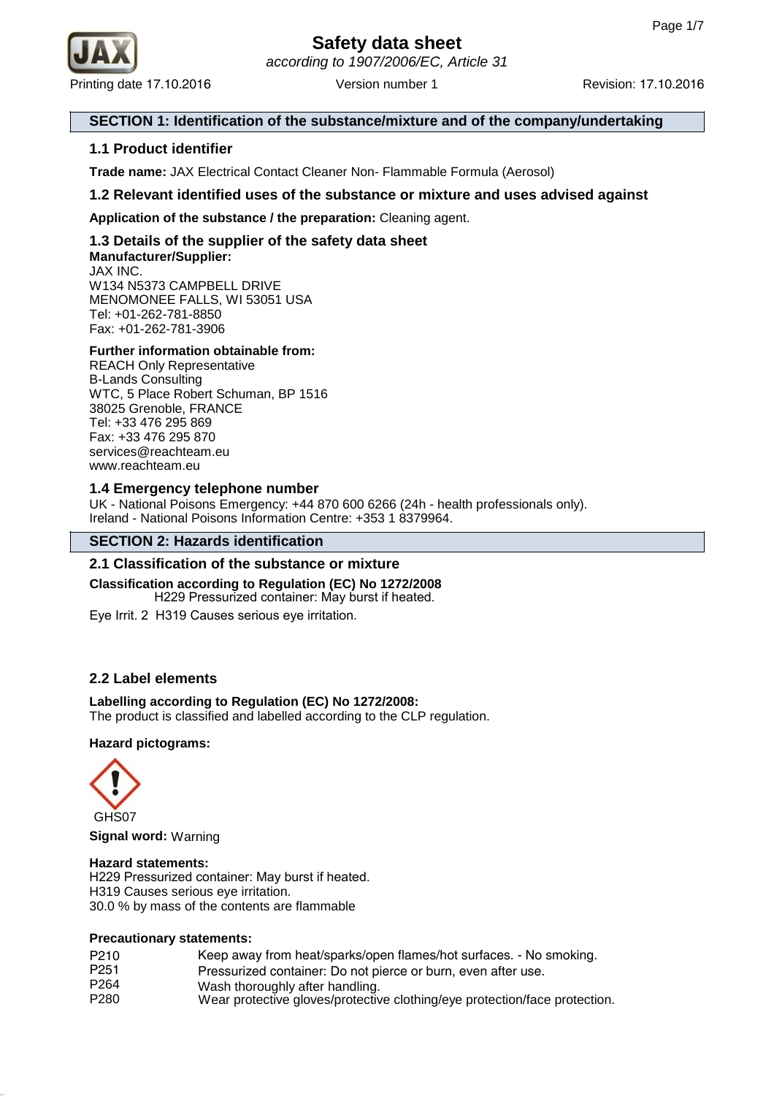

## **SECTION 1: Identification of the substance/mixture and of the company/undertaking**

## **1.1 Product identifier**

**Trade name:** JAX Electrical Contact Cleaner Non- Flammable Formula (Aerosol)

## **1.2 Relevant identified uses of the substance or mixture and uses advised against**

**Application of the substance / the preparation:** Cleaning agent.

#### **1.3 Details of the supplier of the safety data sheet Manufacturer/Supplier:** JAX INC. W134 N5373 CAMPBELL DRIVE MENOMONEE FALLS, WI 53051 USA

Tel: +01-262-781-8850 Fax: +01-262-781-3906

### **Further information obtainable from:**

REACH Only Representative B-Lands Consulting WTC, 5 Place Robert Schuman, BP 1516 38025 Grenoble, FRANCE Tel: +33 476 295 869 Fax: +33 476 295 870 services@reachteam.eu www.reachteam.eu

## **1.4 Emergency telephone number**

UK - National Poisons Emergency: +44 870 600 6266 (24h - health professionals only). Ireland - National Poisons Information Centre: +353 1 8379964.

## **SECTION 2: Hazards identification**

## **2.1 Classification of the substance or mixture**

**Classification according to Regulation (EC) No 1272/2008** H229 Pressurized container: May burst if heated.

Eye Irrit. 2 H319 Causes serious eye irritation.

## **2.2 Label elements**

## **Labelling according to Regulation (EC) No 1272/2008:**

The product is classified and labelled according to the CLP regulation.

#### **Hazard pictograms:**



**Signal word:** Warning

#### **Hazard statements:**

H229 Pressurized container: May burst if heated. H319 Causes serious eye irritation. 30.0 % by mass of the contents are flammable

#### **Precautionary statements:**

| P <sub>210</sub> | Keep away from heat/sparks/open flames/hot surfaces. - No smoking.         |
|------------------|----------------------------------------------------------------------------|
| P <sub>251</sub> | Pressurized container: Do not pierce or burn, even after use.              |
| P <sub>264</sub> | Wash thoroughly after handling.                                            |
| P <sub>280</sub> | Wear protective gloves/protective clothing/eye protection/face protection. |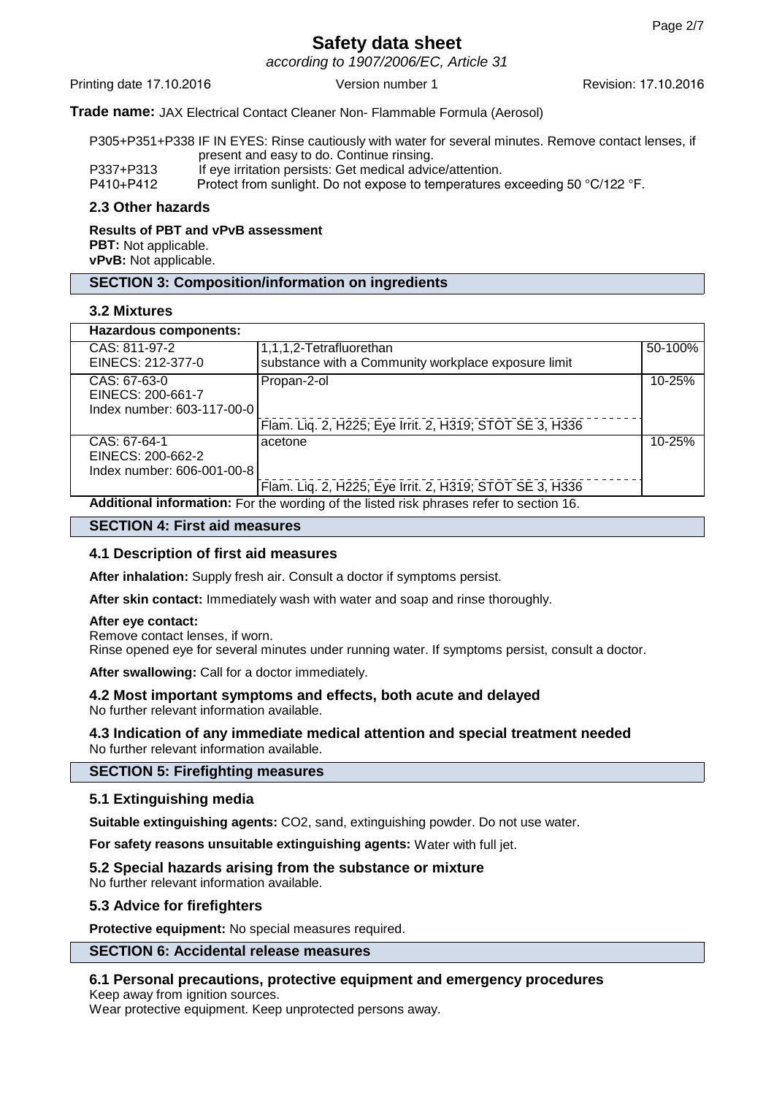according to 1907/2006/EC, Article 31

Printing date 17.10.2016 **Version number 1** Revision: 17.10.2016 **Revision: 17.10.2016** 

## **Trade name:** JAX Electrical Contact Cleaner Non- Flammable Formula (Aerosol)

P305+P351+P338 IF IN EYES: Rinse cautiously with water for several minutes. Remove contact lenses, if present and easy to do. Continue rinsing.

P337+P313 If eye irritation persists: Get medical advice/attention.<br>P410+P412 Protect from sunlight. Do not expose to temperatures

Protect from sunlight. Do not expose to temperatures exceeding 50 °C/122 °F.

### **2.3 Other hazards**

**Results of PBT and vPvB assessment PBT:** Not applicable. **vPvB:** Not applicable.

## **SECTION 3: Composition/information on ingredients**

## **3.2 Mixtures**

| <b>Hazardous components:</b>                                                            |                                                         |            |  |
|-----------------------------------------------------------------------------------------|---------------------------------------------------------|------------|--|
| CAS: 811-97-2                                                                           | 1,1,1,2-Tetrafluorethan                                 | 50-100%    |  |
| EINECS: 212-377-0                                                                       | substance with a Community workplace exposure limit     |            |  |
| CAS: 67-63-0                                                                            | Propan-2-ol                                             | $10 - 25%$ |  |
| EINECS: 200-661-7                                                                       |                                                         |            |  |
| Index number: 603-117-00-0                                                              |                                                         |            |  |
|                                                                                         | Flam. Liq. 2, H225; Eye Irrit. 2, H319; STOT SE 3, H336 |            |  |
| CAS: 67-64-1                                                                            | acetone                                                 | 10-25%     |  |
| EINECS: 200-662-2                                                                       |                                                         |            |  |
| Index number: 606-001-00-8                                                              |                                                         |            |  |
|                                                                                         | Flam. Liq. 2, H225; Eye Irrit. 2, H319; STOT SE 3, H336 |            |  |
| Additional information: For the wording of the listed risk phrases refer to section 16. |                                                         |            |  |

#### **SECTION 4: First aid measures**

## **4.1 Description of first aid measures**

**After inhalation:** Supply fresh air. Consult a doctor if symptoms persist.

**After skin contact:** Immediately wash with water and soap and rinse thoroughly.

#### **After eye contact:**

Remove contact lenses, if worn.

Rinse opened eye for several minutes under running water. If symptoms persist, consult a doctor.

**After swallowing:** Call for a doctor immediately.

## **4.2 Most important symptoms and effects, both acute and delayed**

No further relevant information available.

### **4.3 Indication of any immediate medical attention and special treatment needed** No further relevant information available.

#### **SECTION 5: Firefighting measures**

## **5.1 Extinguishing media**

**Suitable extinguishing agents:** CO2, sand, extinguishing powder. Do not use water.

**For safety reasons unsuitable extinguishing agents:** Water with full jet.

## **5.2 Special hazards arising from the substance or mixture**

No further relevant information available.

#### **5.3 Advice for firefighters**

**Protective equipment:** No special measures required.

## **SECTION 6: Accidental release measures**

## **6.1 Personal precautions, protective equipment and emergency procedures**

Keep away from ignition sources.

Wear protective equipment. Keep unprotected persons away.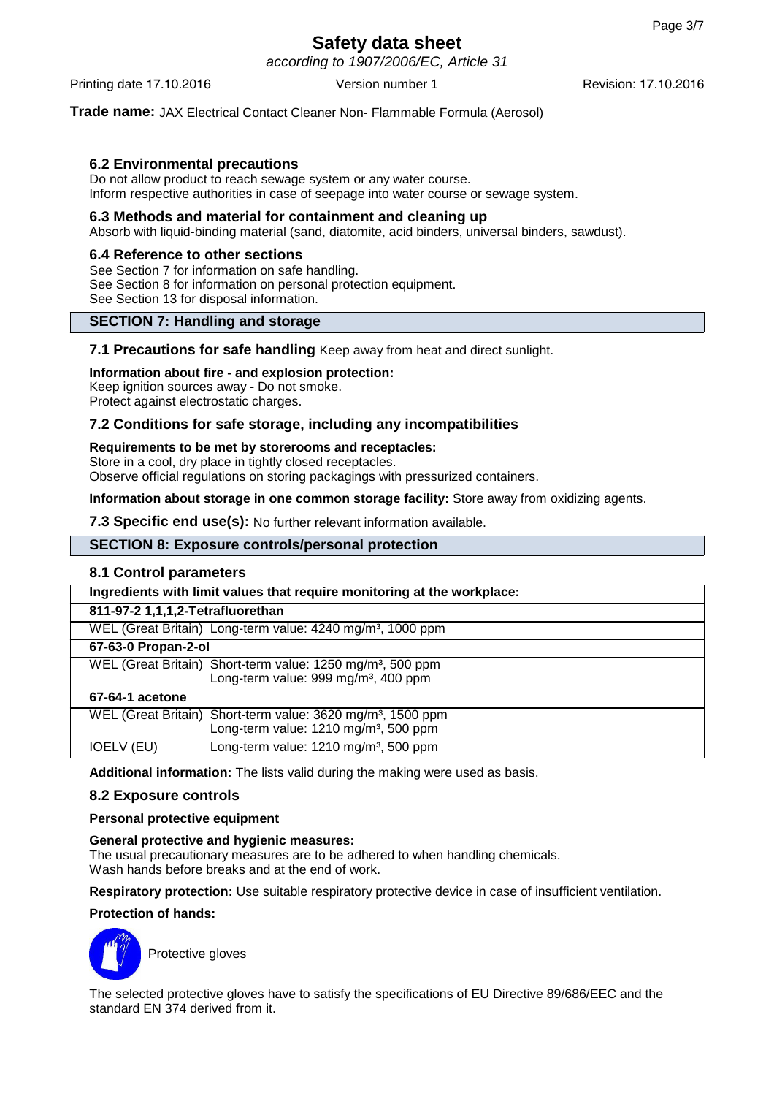according to 1907/2006/EC, Article 31

Printing date 17.10.2016 **Version number 1** Revision: 17.10.2016 **Revision: 17.10.2016** 

**Trade name:** JAX Electrical Contact Cleaner Non- Flammable Formula (Aerosol)

## **6.2 Environmental precautions**

Do not allow product to reach sewage system or any water course. Inform respective authorities in case of seepage into water course or sewage system.

## **6.3 Methods and material for containment and cleaning up**

Absorb with liquid-binding material (sand, diatomite, acid binders, universal binders, sawdust).

## **6.4 Reference to other sections**

See Section 7 for information on safe handling. See Section 8 for information on personal protection equipment. See Section 13 for disposal information.

## **SECTION 7: Handling and storage**

**7.1 Precautions for safe handling** Keep away from heat and direct sunlight.

### **Information about fire - and explosion protection:**

Keep ignition sources away - Do not smoke. Protect against electrostatic charges.

## **7.2 Conditions for safe storage, including any incompatibilities**

### **Requirements to be met by storerooms and receptacles:**

Store in a cool, dry place in tightly closed receptacles.

Observe official regulations on storing packagings with pressurized containers.

**Information about storage in one common storage facility:** Store away from oxidizing agents.

**7.3 Specific end use(s):** No further relevant information available.

## **SECTION 8: Exposure controls/personal protection**

## **8.1 Control parameters**

| Ingredients with limit values that require monitoring at the workplace: |                                                                         |  |  |  |
|-------------------------------------------------------------------------|-------------------------------------------------------------------------|--|--|--|
| 811-97-2 1,1,1,2-Tetrafluorethan                                        |                                                                         |  |  |  |
|                                                                         | WEL (Great Britain) Long-term value: 4240 mg/m <sup>3</sup> , 1000 ppm  |  |  |  |
| 67-63-0 Propan-2-ol                                                     |                                                                         |  |  |  |
|                                                                         | WEL (Great Britain) Short-term value: 1250 mg/m <sup>3</sup> , 500 ppm  |  |  |  |
|                                                                         | Long-term value: 999 mg/m <sup>3</sup> , 400 ppm                        |  |  |  |
| 67-64-1 acetone                                                         |                                                                         |  |  |  |
|                                                                         | WEL (Great Britain) Short-term value: 3620 mg/m <sup>3</sup> , 1500 ppm |  |  |  |
|                                                                         | Long-term value: 1210 mg/m <sup>3</sup> , 500 ppm                       |  |  |  |
| <b>IOELV (EU)</b>                                                       | Long-term value: 1210 mg/m <sup>3</sup> , 500 ppm                       |  |  |  |

**Additional information:** The lists valid during the making were used as basis.

## **8.2 Exposure controls**

## **Personal protective equipment**

## **General protective and hygienic measures:**

The usual precautionary measures are to be adhered to when handling chemicals. Wash hands before breaks and at the end of work.

**Respiratory protection:** Use suitable respiratory protective device in case of insufficient ventilation.

#### **Protection of hands:**



The selected protective gloves have to satisfy the specifications of EU Directive 89/686/EEC and the standard EN 374 derived from it.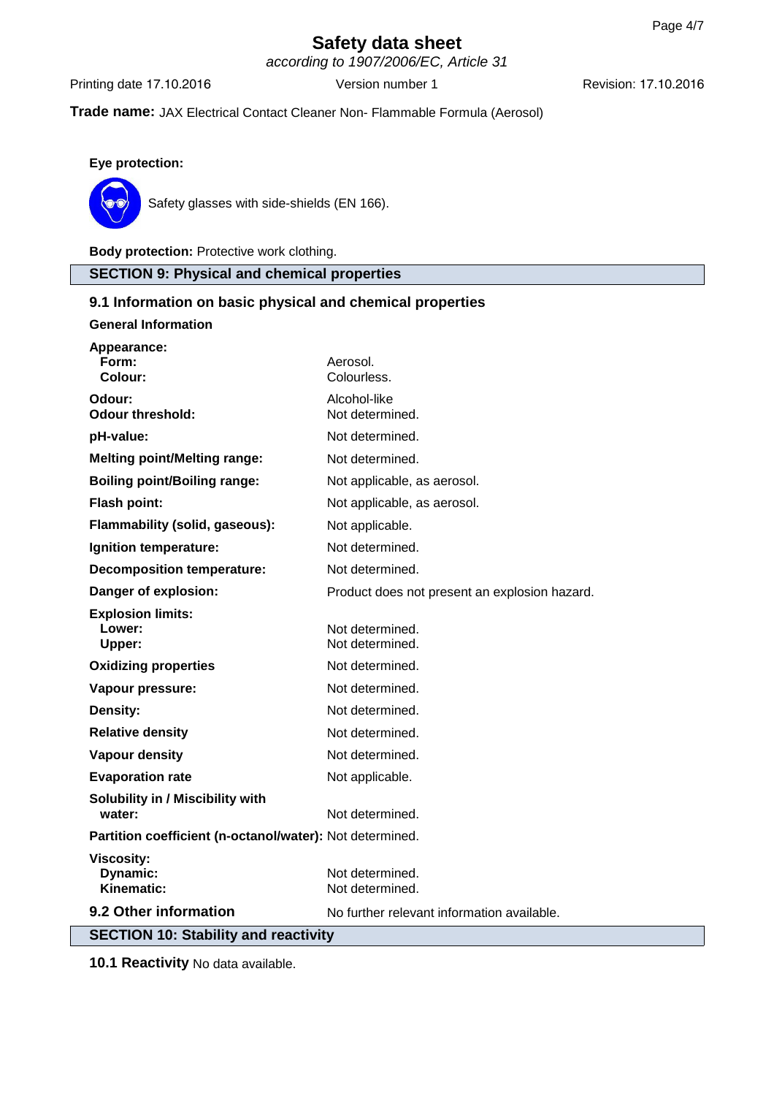according to 1907/2006/EC, Article 31

Printing date 17.10.2016 Version number 1 Revision: 17.10.2016

## **Trade name:** JAX Electrical Contact Cleaner Non- Flammable Formula (Aerosol)

**Eye protection:**



Safety glasses with side-shields (EN 166).

**Body protection:** Protective work clothing.

**SECTION 9: Physical and chemical properties**

## **9.1 Information on basic physical and chemical properties**

| <b>General Information</b>                                          |                                               |  |  |  |
|---------------------------------------------------------------------|-----------------------------------------------|--|--|--|
| Appearance:<br>Form:<br>Colour:                                     | Aerosol.<br>Colourless.                       |  |  |  |
| Odour:<br><b>Odour threshold:</b>                                   | Alcohol-like<br>Not determined.               |  |  |  |
| pH-value:                                                           | Not determined.                               |  |  |  |
| <b>Melting point/Melting range:</b>                                 | Not determined.                               |  |  |  |
| <b>Boiling point/Boiling range:</b>                                 | Not applicable, as aerosol.                   |  |  |  |
| Flash point:                                                        | Not applicable, as aerosol.                   |  |  |  |
| Flammability (solid, gaseous):                                      | Not applicable.                               |  |  |  |
| Ignition temperature:                                               | Not determined.                               |  |  |  |
| <b>Decomposition temperature:</b>                                   | Not determined.                               |  |  |  |
| Danger of explosion:                                                | Product does not present an explosion hazard. |  |  |  |
| <b>Explosion limits:</b><br>Lower:<br>Upper:                        | Not determined.<br>Not determined.            |  |  |  |
| <b>Oxidizing properties</b>                                         | Not determined.                               |  |  |  |
| Vapour pressure:                                                    | Not determined.                               |  |  |  |
| Density:                                                            | Not determined.                               |  |  |  |
| <b>Relative density</b>                                             | Not determined.                               |  |  |  |
| <b>Vapour density</b>                                               | Not determined.                               |  |  |  |
| <b>Evaporation rate</b>                                             | Not applicable.                               |  |  |  |
| Solubility in / Miscibility with<br>water:                          | Not determined.                               |  |  |  |
| Partition coefficient (n-octanol/water): Not determined.            |                                               |  |  |  |
| <b>Viscosity:</b><br>Dynamic:<br>Kinematic:                         | Not determined.<br>Not determined.            |  |  |  |
| 9.2 Other information<br>No further relevant information available. |                                               |  |  |  |
| <b>SECTION 10: Stability and reactivity</b>                         |                                               |  |  |  |

**10.1 Reactivity** No data available.

 $\overline{\phantom{a}}$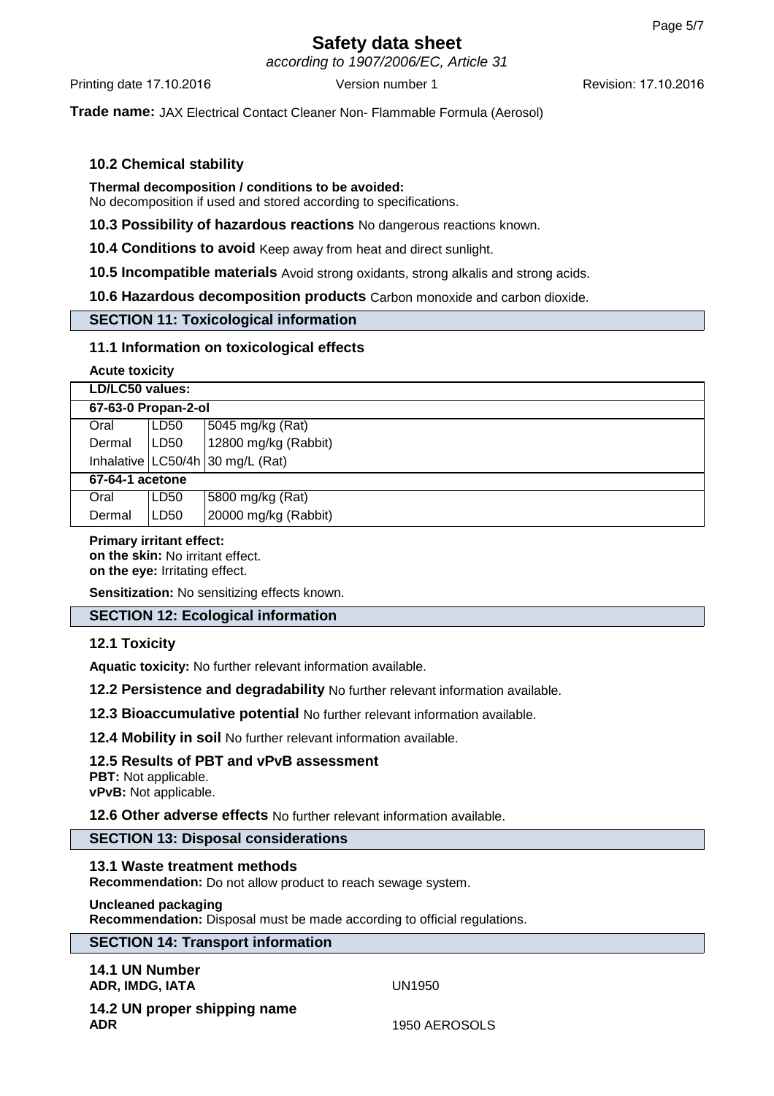according to 1907/2006/EC, Article 31

Printing date 17.10.2016 **Version number 1** Revision: 17.10.2016 **Revision: 17.10.2016** 

**Trade name:** JAX Electrical Contact Cleaner Non- Flammable Formula (Aerosol)

## **10.2 Chemical stability**

## **Thermal decomposition / conditions to be avoided:**

No decomposition if used and stored according to specifications.

**10.3 Possibility of hazardous reactions** No dangerous reactions known.

**10.4 Conditions to avoid** Keep away from heat and direct sunlight.

**10.5 Incompatible materials** Avoid strong oxidants, strong alkalis and strong acids.

**10.6 Hazardous decomposition products** Carbon monoxide and carbon dioxide.

## **SECTION 11: Toxicological information**

## **11.1 Information on toxicological effects**

**Acute toxicity**

| LD/LC50 values:     |      |                                    |  |  |  |
|---------------------|------|------------------------------------|--|--|--|
| 67-63-0 Propan-2-ol |      |                                    |  |  |  |
| Oral                | LD50 | 5045 mg/kg (Rat)                   |  |  |  |
| Dermal              | LD50 | 12800 mg/kg (Rabbit)               |  |  |  |
|                     |      | Inhalative $LC50/4h$ 30 mg/L (Rat) |  |  |  |
| 67-64-1 acetone     |      |                                    |  |  |  |
| Oral                | LD50 | 5800 mg/kg (Rat)                   |  |  |  |
| Dermal              | LD50 | 20000 mg/kg (Rabbit)               |  |  |  |

#### **Primary irritant effect: on the skin:** No irritant effect.

**on the eye:** Irritating effect.

**Sensitization:** No sensitizing effects known.

## **SECTION 12: Ecological information**

## **12.1 Toxicity**

**Aquatic toxicity:** No further relevant information available.

**12.2 Persistence and degradability** No further relevant information available.

**12.3 Bioaccumulative potential** No further relevant information available.

**12.4 Mobility in soil** No further relevant information available.

## **12.5 Results of PBT and vPvB assessment**

**PBT:** Not applicable. **vPvB:** Not applicable.

**12.6 Other adverse effects** No further relevant information available.

## **SECTION 13: Disposal considerations**

## **13.1 Waste treatment methods**

**Recommendation:** Do not allow product to reach sewage system.

#### **Uncleaned packaging**

**Recommendation:** Disposal must be made according to official regulations.

## **SECTION 14: Transport information**

**14.1 UN Number ADR, IMDG, IATA** UN1950

**14.2 UN proper shipping name ADR** 1950 AEROSOLS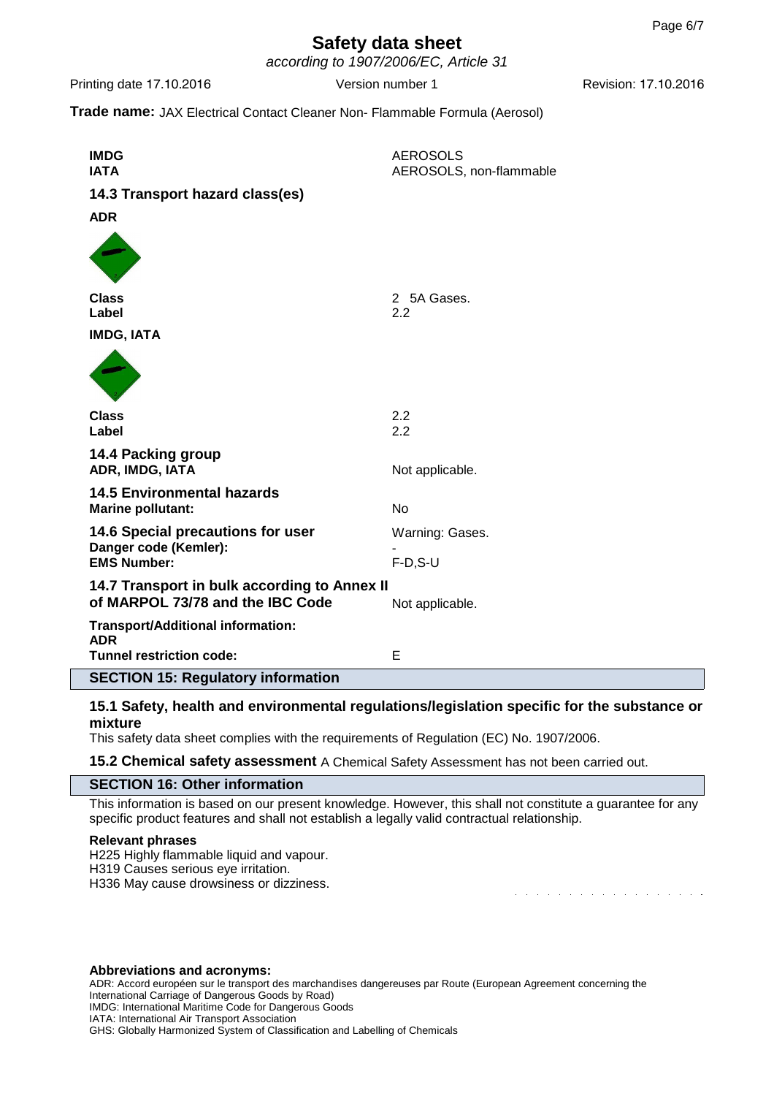according to 1907/2006/EC, Article 31

Printing date 17.10.2016 **Version number 1** Revision: 17.10.2016 **Revision: 17.10.2016** 

and the second contract of the second contract of the second contract of the second contract of the second contract of the second contract of the second contract of the second contract of the second contract of the second

**Trade name:** JAX Electrical Contact Cleaner Non- Flammable Formula (Aerosol)

| <b>IMDG</b><br><b>IATA</b>                                                       | <b>AEROSOLS</b><br>AEROSOLS, non-flammable |
|----------------------------------------------------------------------------------|--------------------------------------------|
| 14.3 Transport hazard class(es)                                                  |                                            |
| <b>ADR</b>                                                                       |                                            |
|                                                                                  |                                            |
| <b>Class</b><br>Label                                                            | 2 5A Gases.<br>2.2                         |
| <b>IMDG, IATA</b>                                                                |                                            |
|                                                                                  |                                            |
| <b>Class</b><br>Label                                                            | 2.2<br>2.2                                 |
| 14.4 Packing group<br>ADR, IMDG, IATA                                            | Not applicable.                            |
| <b>14.5 Environmental hazards</b><br><b>Marine pollutant:</b>                    | <b>No</b>                                  |
| 14.6 Special precautions for user                                                | Warning: Gases.                            |
| Danger code (Kemler):<br><b>EMS Number:</b>                                      | $F-D, S-U$                                 |
| 14.7 Transport in bulk according to Annex II<br>of MARPOL 73/78 and the IBC Code | Not applicable.                            |
| <b>Transport/Additional information:</b><br><b>ADR</b>                           |                                            |
| <b>Tunnel restriction code:</b>                                                  | E                                          |
| <b>SECTION 15: Regulatory information</b>                                        |                                            |

#### **15.1 Safety, health and environmental regulations/legislation specific for the substance or mixture**

This safety data sheet complies with the requirements of Regulation (EC) No. 1907/2006.

**15.2 Chemical safety assessment** A Chemical Safety Assessment has not been carried out.

#### **SECTION 16: Other information**

This information is based on our present knowledge. However, this shall not constitute a guarantee for any specific product features and shall not establish a legally valid contractual relationship.

#### **Relevant phrases**

H225 Highly flammable liquid and vapour. H319 Causes serious eye irritation.

H336 May cause drowsiness or dizziness.

#### **Abbreviations and acronyms:**

ADR: Accord européen sur le transport des marchandises dangereuses par Route (European Agreement concerning the International Carriage of Dangerous Goods by Road) IMDG: International Maritime Code for Dangerous Goods IATA: International Air Transport Association GHS: Globally Harmonized System of Classification and Labelling of Chemicals